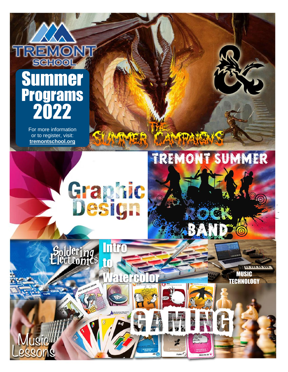## **SCHOOI** Summer Programs 2022

For more information or to register, visit: **tremontschool.org** 

**Int** 

Soldering<br>Electronic

usic

**Graphic**<br>Design

to

**Lerc** 

ANTPA

menig P

**TREMONT SUMMER** 

MUSIC **TECHNOLOGY** 

**UMM**